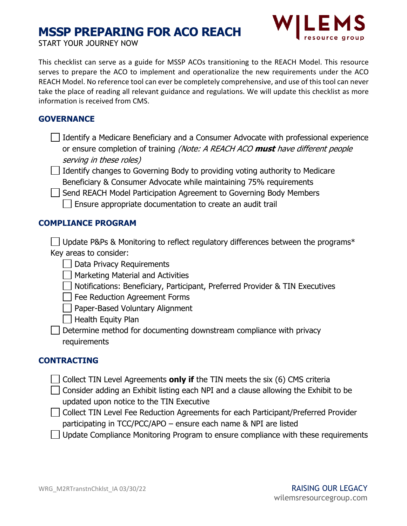# **MSSP PREPARING FOR ACO REACH**



START YOUR JOURNEY NOW

This checklist can serve as a guide for MSSP ACOs transitioning to the REACH Model. This resource serves to prepare the ACO to implement and operationalize the new requirements under the ACO REACH Model. No reference tool can ever be completely comprehensive, and use of this tool can never take the place of reading all relevant guidance and regulations. We will update this checklist as more information is received from CMS.

## **GOVERNANCE**

| $\Box$ Identify a Medicare Beneficiary and a Consumer Advocate with professional experience  |  |
|----------------------------------------------------------------------------------------------|--|
| or ensure completion of training <i>(Note: A REACH ACO <b>must</b> have different people</i> |  |
| serving in these roles)                                                                      |  |

 $\Box$  Identify changes to Governing Body to providing voting authority to Medicare Beneficiary & Consumer Advocate while maintaining 75% requirements

Send REACH Model Participation Agreement to Governing Body Members  $\Box$  Ensure appropriate documentation to create an audit trail

### **COMPLIANCE PROGRAM**

| $\Box$ Update P&Ps & Monitoring to reflect regulatory differences between the programs* |  |  |  |
|-----------------------------------------------------------------------------------------|--|--|--|
| Key areas to consider:                                                                  |  |  |  |

Data Privacy Requirements

**Narketing Material and Activities** 

- Notifications: Beneficiary, Participant, Preferred Provider & TIN Executives
- Fee Reduction Agreement Forms

**Paper-Based Voluntary Alignment** 

- $\vert \ \vert$  Health Equity Plan
- Determine method for documenting downstream compliance with privacy requirements

### **CONTRACTING**

- $\Box$  Collect TIN Level Agreements **only if** the TIN meets the six (6) CMS criteria
- $\Box$  Consider adding an Exhibit listing each NPI and a clause allowing the Exhibit to be updated upon notice to the TIN Executive
- Collect TIN Level Fee Reduction Agreements for each Participant/Preferred Provider participating in TCC/PCC/APO – ensure each name & NPI are listed
- $\Box$  Update Compliance Monitoring Program to ensure compliance with these requirements